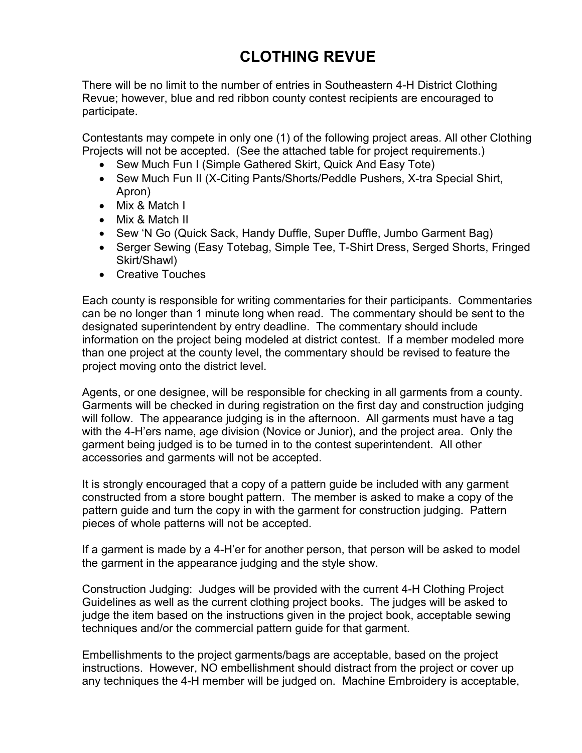## **CLOTHING REVUE**

There will be no limit to the number of entries in Southeastern 4-H District Clothing Revue; however, blue and red ribbon county contest recipients are encouraged to participate.

Contestants may compete in only one (1) of the following project areas. All other Clothing Projects will not be accepted. (See the attached table for project requirements.)

- Sew Much Fun I (Simple Gathered Skirt, Quick And Easy Tote)
- Sew Much Fun II (X-Citing Pants/Shorts/Peddle Pushers, X-tra Special Shirt, Apron)
- Mix & Match I
- Mix & Match II
- Sew 'N Go (Quick Sack, Handy Duffle, Super Duffle, Jumbo Garment Bag)
- Serger Sewing (Easy Totebag, Simple Tee, T-Shirt Dress, Serged Shorts, Fringed Skirt/Shawl)
- Creative Touches

Each county is responsible for writing commentaries for their participants. Commentaries can be no longer than 1 minute long when read. The commentary should be sent to the designated superintendent by entry deadline. The commentary should include information on the project being modeled at district contest. If a member modeled more than one project at the county level, the commentary should be revised to feature the project moving onto the district level.

Agents, or one designee, will be responsible for checking in all garments from a county. Garments will be checked in during registration on the first day and construction judging will follow. The appearance judging is in the afternoon. All garments must have a tag with the 4-H'ers name, age division (Novice or Junior), and the project area. Only the garment being judged is to be turned in to the contest superintendent. All other accessories and garments will not be accepted.

It is strongly encouraged that a copy of a pattern guide be included with any garment constructed from a store bought pattern. The member is asked to make a copy of the pattern guide and turn the copy in with the garment for construction judging. Pattern pieces of whole patterns will not be accepted.

If a garment is made by a 4-H'er for another person, that person will be asked to model the garment in the appearance judging and the style show.

Construction Judging: Judges will be provided with the current 4-H Clothing Project Guidelines as well as the current clothing project books. The judges will be asked to judge the item based on the instructions given in the project book, acceptable sewing techniques and/or the commercial pattern guide for that garment.

Embellishments to the project garments/bags are acceptable, based on the project instructions. However, NO embellishment should distract from the project or cover up any techniques the 4-H member will be judged on. Machine Embroidery is acceptable,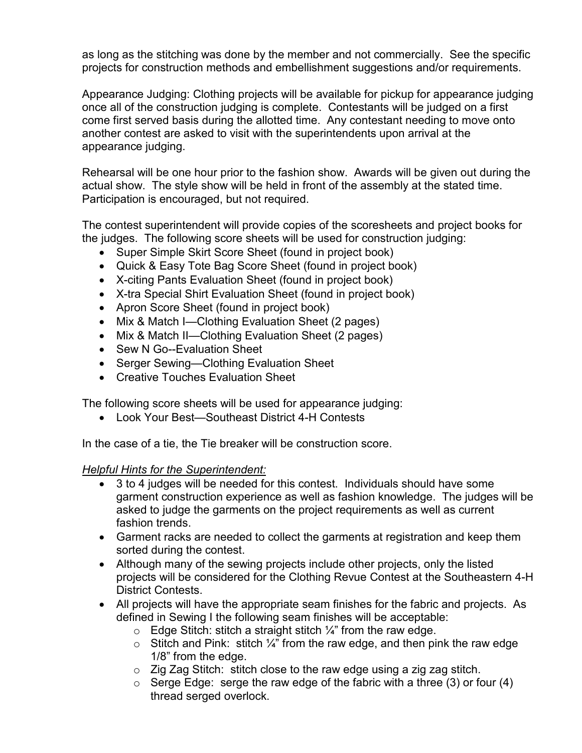as long as the stitching was done by the member and not commercially. See the specific projects for construction methods and embellishment suggestions and/or requirements.

Appearance Judging: Clothing projects will be available for pickup for appearance judging once all of the construction judging is complete. Contestants will be judged on a first come first served basis during the allotted time. Any contestant needing to move onto another contest are asked to visit with the superintendents upon arrival at the appearance judging.

Rehearsal will be one hour prior to the fashion show. Awards will be given out during the actual show. The style show will be held in front of the assembly at the stated time. Participation is encouraged, but not required.

The contest superintendent will provide copies of the scoresheets and project books for the judges. The following score sheets will be used for construction judging:

- Super Simple Skirt Score Sheet (found in project book)
- Quick & Easy Tote Bag Score Sheet (found in project book)
- X-citing Pants Evaluation Sheet (found in project book)
- X-tra Special Shirt Evaluation Sheet (found in project book)
- Apron Score Sheet (found in project book)
- Mix & Match I—Clothing Evaluation Sheet (2 pages)
- Mix & Match II—Clothing Evaluation Sheet (2 pages)
- Sew N Go--Evaluation Sheet
- Serger Sewing—Clothing Evaluation Sheet
- Creative Touches Evaluation Sheet

The following score sheets will be used for appearance judging:

• Look Your Best—Southeast District 4-H Contests

In the case of a tie, the Tie breaker will be construction score.

## *Helpful Hints for the Superintendent:*

- 3 to 4 judges will be needed for this contest. Individuals should have some garment construction experience as well as fashion knowledge. The judges will be asked to judge the garments on the project requirements as well as current fashion trends.
- Garment racks are needed to collect the garments at registration and keep them sorted during the contest.
- Although many of the sewing projects include other projects, only the listed projects will be considered for the Clothing Revue Contest at the Southeastern 4-H District Contests.
- All projects will have the appropriate seam finishes for the fabric and projects. As defined in Sewing I the following seam finishes will be acceptable:
	- $\circ$  Edge Stitch: stitch a straight stitch  $\frac{1}{4}$ " from the raw edge.
	- o Stitch and Pink: stitch  $\frac{1}{4}$ " from the raw edge, and then pink the raw edge 1/8" from the edge.
	- $\circ$  Zig Zag Stitch: stitch close to the raw edge using a zig zag stitch.
	- $\circ$  Serge Edge: serge the raw edge of the fabric with a three (3) or four (4) thread serged overlock.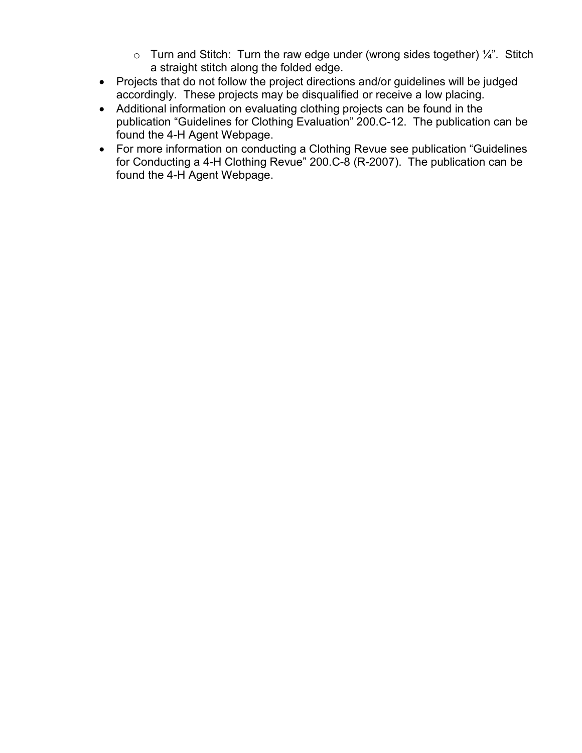- $\circ$  Turn and Stitch: Turn the raw edge under (wrong sides together)  $\frac{1}{4}$ . Stitch a straight stitch along the folded edge.
- Projects that do not follow the project directions and/or guidelines will be judged accordingly. These projects may be disqualified or receive a low placing.
- Additional information on evaluating clothing projects can be found in the publication "Guidelines for Clothing Evaluation" 200.C-12. The publication can be found the 4-H Agent Webpage.
- For more information on conducting a Clothing Revue see publication "Guidelines for Conducting a 4-H Clothing Revue" 200.C-8 (R-2007). The publication can be found the 4-H Agent Webpage.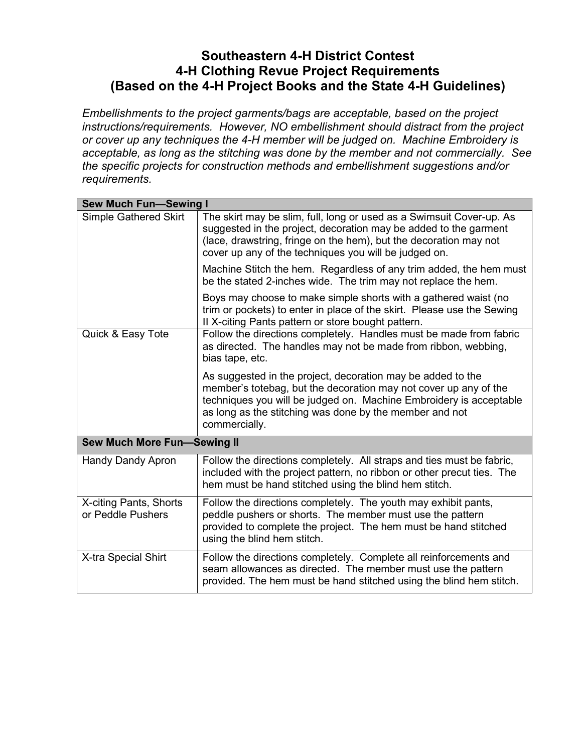## **Southeastern 4-H District Contest 4-H Clothing Revue Project Requirements (Based on the 4-H Project Books and the State 4-H Guidelines)**

*Embellishments to the project garments/bags are acceptable, based on the project instructions/requirements. However, NO embellishment should distract from the project or cover up any techniques the 4-H member will be judged on. Machine Embroidery is acceptable, as long as the stitching was done by the member and not commercially. See the specific projects for construction methods and embellishment suggestions and/or requirements.* 

| <b>Sew Much Fun-Sewing I</b>                |                                                                                                                                                                                                                                                                                   |  |
|---------------------------------------------|-----------------------------------------------------------------------------------------------------------------------------------------------------------------------------------------------------------------------------------------------------------------------------------|--|
| <b>Simple Gathered Skirt</b>                | The skirt may be slim, full, long or used as a Swimsuit Cover-up. As<br>suggested in the project, decoration may be added to the garment<br>(lace, drawstring, fringe on the hem), but the decoration may not<br>cover up any of the techniques you will be judged on.            |  |
|                                             | Machine Stitch the hem. Regardless of any trim added, the hem must<br>be the stated 2-inches wide. The trim may not replace the hem.                                                                                                                                              |  |
|                                             | Boys may choose to make simple shorts with a gathered waist (no<br>trim or pockets) to enter in place of the skirt. Please use the Sewing<br>II X-citing Pants pattern or store bought pattern.                                                                                   |  |
| Quick & Easy Tote                           | Follow the directions completely. Handles must be made from fabric<br>as directed. The handles may not be made from ribbon, webbing,<br>bias tape, etc.                                                                                                                           |  |
|                                             | As suggested in the project, decoration may be added to the<br>member's totebag, but the decoration may not cover up any of the<br>techniques you will be judged on. Machine Embroidery is acceptable<br>as long as the stitching was done by the member and not<br>commercially. |  |
| <b>Sew Much More Fun-Sewing II</b>          |                                                                                                                                                                                                                                                                                   |  |
| <b>Handy Dandy Apron</b>                    | Follow the directions completely. All straps and ties must be fabric,<br>included with the project pattern, no ribbon or other precut ties. The<br>hem must be hand stitched using the blind hem stitch.                                                                          |  |
| X-citing Pants, Shorts<br>or Peddle Pushers | Follow the directions completely. The youth may exhibit pants,<br>peddle pushers or shorts. The member must use the pattern<br>provided to complete the project. The hem must be hand stitched<br>using the blind hem stitch.                                                     |  |
| X-tra Special Shirt                         | Follow the directions completely. Complete all reinforcements and<br>seam allowances as directed. The member must use the pattern<br>provided. The hem must be hand stitched using the blind hem stitch.                                                                          |  |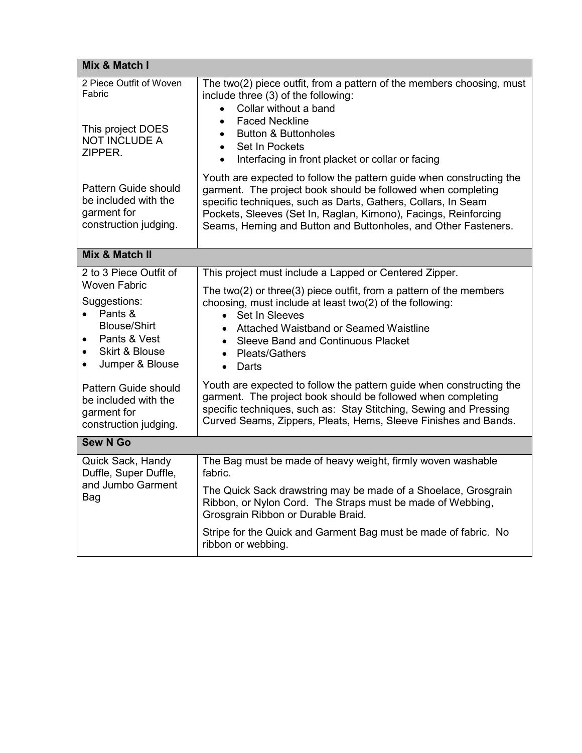| Mix & Match I                                                                                                                                                                                                                                                                                               |                                                                                                                                                                                                                                                                                                                                                                                                                                                                                                                                                                                                                                                                           |  |
|-------------------------------------------------------------------------------------------------------------------------------------------------------------------------------------------------------------------------------------------------------------------------------------------------------------|---------------------------------------------------------------------------------------------------------------------------------------------------------------------------------------------------------------------------------------------------------------------------------------------------------------------------------------------------------------------------------------------------------------------------------------------------------------------------------------------------------------------------------------------------------------------------------------------------------------------------------------------------------------------------|--|
| 2 Piece Outfit of Woven<br>Fabric<br>This project DOES<br><b>NOT INCLUDE A</b><br>ZIPPER.                                                                                                                                                                                                                   | The two(2) piece outfit, from a pattern of the members choosing, must<br>include three (3) of the following:<br>Collar without a band<br>$\bullet$<br><b>Faced Neckline</b><br>$\bullet$<br><b>Button &amp; Buttonholes</b><br>$\bullet$<br>Set In Pockets<br>$\bullet$<br>Interfacing in front placket or collar or facing<br>$\bullet$                                                                                                                                                                                                                                                                                                                                  |  |
| Pattern Guide should<br>be included with the<br>garment for<br>construction judging.                                                                                                                                                                                                                        | Youth are expected to follow the pattern guide when constructing the<br>garment. The project book should be followed when completing<br>specific techniques, such as Darts, Gathers, Collars, In Seam<br>Pockets, Sleeves (Set In, Raglan, Kimono), Facings, Reinforcing<br>Seams, Heming and Button and Buttonholes, and Other Fasteners.                                                                                                                                                                                                                                                                                                                                |  |
| Mix & Match II                                                                                                                                                                                                                                                                                              |                                                                                                                                                                                                                                                                                                                                                                                                                                                                                                                                                                                                                                                                           |  |
| 2 to 3 Piece Outfit of<br><b>Woven Fabric</b><br>Suggestions:<br>Pants &<br>$\bullet$<br><b>Blouse/Shirt</b><br>Pants & Vest<br>$\bullet$<br><b>Skirt &amp; Blouse</b><br>$\bullet$<br>Jumper & Blouse<br>$\bullet$<br>Pattern Guide should<br>be included with the<br>garment for<br>construction judging. | This project must include a Lapped or Centered Zipper.<br>The two(2) or three(3) piece outfit, from a pattern of the members<br>choosing, must include at least two(2) of the following:<br>• Set In Sleeves<br>Attached Waistband or Seamed Waistline<br>$\bullet$<br><b>Sleeve Band and Continuous Placket</b><br>$\bullet$<br><b>Pleats/Gathers</b><br>$\bullet$<br>Darts<br>$\bullet$<br>Youth are expected to follow the pattern guide when constructing the<br>garment. The project book should be followed when completing<br>specific techniques, such as: Stay Stitching, Sewing and Pressing<br>Curved Seams, Zippers, Pleats, Hems, Sleeve Finishes and Bands. |  |
| <b>Sew N Go</b>                                                                                                                                                                                                                                                                                             |                                                                                                                                                                                                                                                                                                                                                                                                                                                                                                                                                                                                                                                                           |  |
| Quick Sack, Handy<br>Duffle, Super Duffle,<br>and Jumbo Garment<br>Bag                                                                                                                                                                                                                                      | The Bag must be made of heavy weight, firmly woven washable<br>fabric.<br>The Quick Sack drawstring may be made of a Shoelace, Grosgrain<br>Ribbon, or Nylon Cord. The Straps must be made of Webbing,<br>Grosgrain Ribbon or Durable Braid.<br>Stripe for the Quick and Garment Bag must be made of fabric. No<br>ribbon or webbing.                                                                                                                                                                                                                                                                                                                                     |  |